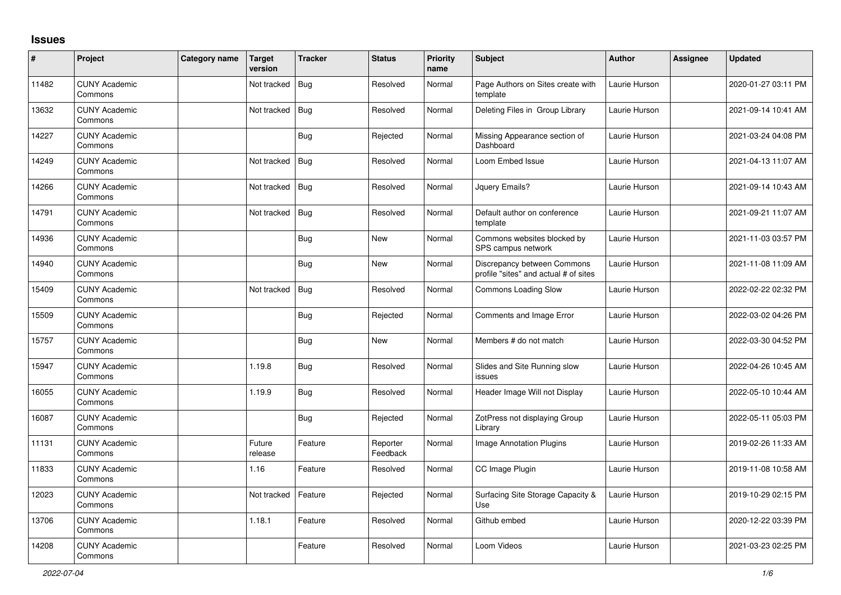## **Issues**

| $\vert$ # | Project                         | Category name | <b>Target</b><br>version | <b>Tracker</b> | <b>Status</b>        | <b>Priority</b><br>name | <b>Subject</b>                                                       | <b>Author</b> | <b>Assignee</b> | <b>Updated</b>      |
|-----------|---------------------------------|---------------|--------------------------|----------------|----------------------|-------------------------|----------------------------------------------------------------------|---------------|-----------------|---------------------|
| 11482     | <b>CUNY Academic</b><br>Commons |               | Not tracked              | $ $ Bug        | Resolved             | Normal                  | Page Authors on Sites create with<br>template                        | Laurie Hurson |                 | 2020-01-27 03:11 PM |
| 13632     | <b>CUNY Academic</b><br>Commons |               | Not tracked              | Bug            | Resolved             | Normal                  | Deleting Files in Group Library                                      | Laurie Hurson |                 | 2021-09-14 10:41 AM |
| 14227     | <b>CUNY Academic</b><br>Commons |               |                          | <b>Bug</b>     | Rejected             | Normal                  | Missing Appearance section of<br>Dashboard                           | Laurie Hurson |                 | 2021-03-24 04:08 PM |
| 14249     | <b>CUNY Academic</b><br>Commons |               | Not tracked              | Bug            | Resolved             | Normal                  | Loom Embed Issue                                                     | Laurie Hurson |                 | 2021-04-13 11:07 AM |
| 14266     | <b>CUNY Academic</b><br>Commons |               | Not tracked              | Bug            | Resolved             | Normal                  | Jquery Emails?                                                       | Laurie Hurson |                 | 2021-09-14 10:43 AM |
| 14791     | <b>CUNY Academic</b><br>Commons |               | Not tracked              | Bug            | Resolved             | Normal                  | Default author on conference<br>template                             | Laurie Hurson |                 | 2021-09-21 11:07 AM |
| 14936     | <b>CUNY Academic</b><br>Commons |               |                          | Bug            | New                  | Normal                  | Commons websites blocked by<br>SPS campus network                    | Laurie Hurson |                 | 2021-11-03 03:57 PM |
| 14940     | <b>CUNY Academic</b><br>Commons |               |                          | <b>Bug</b>     | New                  | Normal                  | Discrepancy between Commons<br>profile "sites" and actual # of sites | Laurie Hurson |                 | 2021-11-08 11:09 AM |
| 15409     | <b>CUNY Academic</b><br>Commons |               | Not tracked              | Bug            | Resolved             | Normal                  | <b>Commons Loading Slow</b>                                          | Laurie Hurson |                 | 2022-02-22 02:32 PM |
| 15509     | <b>CUNY Academic</b><br>Commons |               |                          | <b>Bug</b>     | Rejected             | Normal                  | Comments and Image Error                                             | Laurie Hurson |                 | 2022-03-02 04:26 PM |
| 15757     | <b>CUNY Academic</b><br>Commons |               |                          | Bug            | New                  | Normal                  | Members # do not match                                               | Laurie Hurson |                 | 2022-03-30 04:52 PM |
| 15947     | <b>CUNY Academic</b><br>Commons |               | 1.19.8                   | <b>Bug</b>     | Resolved             | Normal                  | Slides and Site Running slow<br>issues                               | Laurie Hurson |                 | 2022-04-26 10:45 AM |
| 16055     | <b>CUNY Academic</b><br>Commons |               | 1.19.9                   | <b>Bug</b>     | Resolved             | Normal                  | Header Image Will not Display                                        | Laurie Hurson |                 | 2022-05-10 10:44 AM |
| 16087     | <b>CUNY Academic</b><br>Commons |               |                          | <b>Bug</b>     | Rejected             | Normal                  | ZotPress not displaying Group<br>Library                             | Laurie Hurson |                 | 2022-05-11 05:03 PM |
| 11131     | <b>CUNY Academic</b><br>Commons |               | Future<br>release        | Feature        | Reporter<br>Feedback | Normal                  | Image Annotation Plugins                                             | Laurie Hurson |                 | 2019-02-26 11:33 AM |
| 11833     | <b>CUNY Academic</b><br>Commons |               | 1.16                     | Feature        | Resolved             | Normal                  | CC Image Plugin                                                      | Laurie Hurson |                 | 2019-11-08 10:58 AM |
| 12023     | <b>CUNY Academic</b><br>Commons |               | Not tracked              | Feature        | Rejected             | Normal                  | Surfacing Site Storage Capacity &<br>Use                             | Laurie Hurson |                 | 2019-10-29 02:15 PM |
| 13706     | <b>CUNY Academic</b><br>Commons |               | 1.18.1                   | Feature        | Resolved             | Normal                  | Github embed                                                         | Laurie Hurson |                 | 2020-12-22 03:39 PM |
| 14208     | <b>CUNY Academic</b><br>Commons |               |                          | Feature        | Resolved             | Normal                  | Loom Videos                                                          | Laurie Hurson |                 | 2021-03-23 02:25 PM |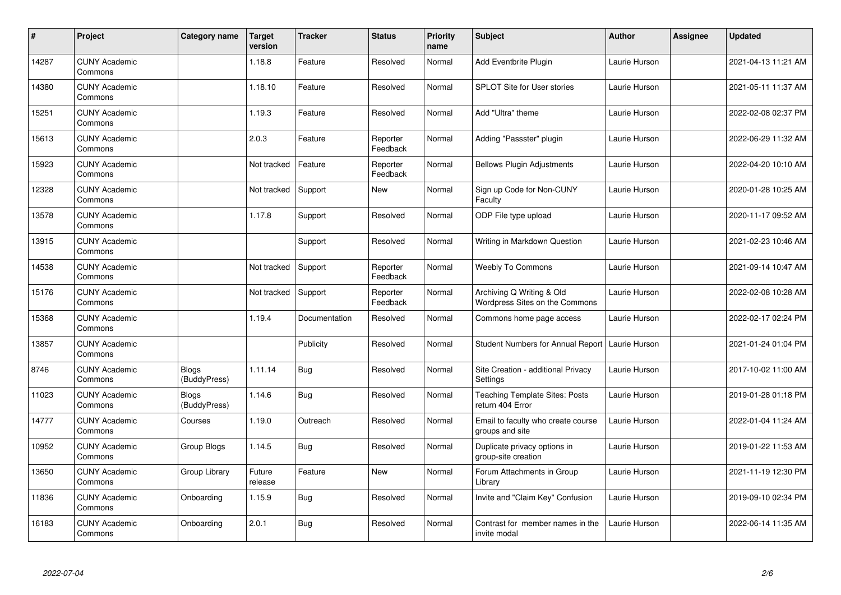| $\sharp$ | Project                         | Category name                | <b>Target</b><br>version | <b>Tracker</b> | <b>Status</b>        | <b>Priority</b><br>name | <b>Subject</b>                                              | <b>Author</b> | <b>Assignee</b> | <b>Updated</b>      |
|----------|---------------------------------|------------------------------|--------------------------|----------------|----------------------|-------------------------|-------------------------------------------------------------|---------------|-----------------|---------------------|
| 14287    | <b>CUNY Academic</b><br>Commons |                              | 1.18.8                   | Feature        | Resolved             | Normal                  | <b>Add Eventbrite Plugin</b>                                | Laurie Hurson |                 | 2021-04-13 11:21 AM |
| 14380    | <b>CUNY Academic</b><br>Commons |                              | 1.18.10                  | Feature        | Resolved             | Normal                  | <b>SPLOT Site for User stories</b>                          | Laurie Hurson |                 | 2021-05-11 11:37 AM |
| 15251    | <b>CUNY Academic</b><br>Commons |                              | 1.19.3                   | Feature        | Resolved             | Normal                  | Add "Ultra" theme                                           | Laurie Hurson |                 | 2022-02-08 02:37 PM |
| 15613    | <b>CUNY Academic</b><br>Commons |                              | 2.0.3                    | Feature        | Reporter<br>Feedback | Normal                  | Adding "Passster" plugin                                    | Laurie Hurson |                 | 2022-06-29 11:32 AM |
| 15923    | <b>CUNY Academic</b><br>Commons |                              | Not tracked              | Feature        | Reporter<br>Feedback | Normal                  | <b>Bellows Plugin Adjustments</b>                           | Laurie Hurson |                 | 2022-04-20 10:10 AM |
| 12328    | <b>CUNY Academic</b><br>Commons |                              | Not tracked              | Support        | New                  | Normal                  | Sign up Code for Non-CUNY<br>Faculty                        | Laurie Hurson |                 | 2020-01-28 10:25 AM |
| 13578    | <b>CUNY Academic</b><br>Commons |                              | 1.17.8                   | Support        | Resolved             | Normal                  | ODP File type upload                                        | Laurie Hurson |                 | 2020-11-17 09:52 AM |
| 13915    | <b>CUNY Academic</b><br>Commons |                              |                          | Support        | Resolved             | Normal                  | Writing in Markdown Question                                | Laurie Hurson |                 | 2021-02-23 10:46 AM |
| 14538    | <b>CUNY Academic</b><br>Commons |                              | Not tracked              | Support        | Reporter<br>Feedback | Normal                  | <b>Weebly To Commons</b>                                    | Laurie Hurson |                 | 2021-09-14 10:47 AM |
| 15176    | <b>CUNY Academic</b><br>Commons |                              | Not tracked              | Support        | Reporter<br>Feedback | Normal                  | Archiving Q Writing & Old<br>Wordpress Sites on the Commons | Laurie Hurson |                 | 2022-02-08 10:28 AM |
| 15368    | <b>CUNY Academic</b><br>Commons |                              | 1.19.4                   | Documentation  | Resolved             | Normal                  | Commons home page access                                    | Laurie Hurson |                 | 2022-02-17 02:24 PM |
| 13857    | <b>CUNY Academic</b><br>Commons |                              |                          | Publicity      | Resolved             | Normal                  | <b>Student Numbers for Annual Report</b>                    | Laurie Hurson |                 | 2021-01-24 01:04 PM |
| 8746     | <b>CUNY Academic</b><br>Commons | <b>Blogs</b><br>(BuddyPress) | 1.11.14                  | <b>Bug</b>     | Resolved             | Normal                  | Site Creation - additional Privacy<br>Settings              | Laurie Hurson |                 | 2017-10-02 11:00 AM |
| 11023    | <b>CUNY Academic</b><br>Commons | <b>Blogs</b><br>(BuddyPress) | 1.14.6                   | <b>Bug</b>     | Resolved             | Normal                  | <b>Teaching Template Sites: Posts</b><br>return 404 Error   | Laurie Hurson |                 | 2019-01-28 01:18 PM |
| 14777    | <b>CUNY Academic</b><br>Commons | Courses                      | 1.19.0                   | Outreach       | Resolved             | Normal                  | Email to faculty who create course<br>groups and site       | Laurie Hurson |                 | 2022-01-04 11:24 AM |
| 10952    | <b>CUNY Academic</b><br>Commons | Group Blogs                  | 1.14.5                   | Bug            | Resolved             | Normal                  | Duplicate privacy options in<br>group-site creation         | Laurie Hurson |                 | 2019-01-22 11:53 AM |
| 13650    | <b>CUNY Academic</b><br>Commons | Group Library                | Future<br>release        | Feature        | New                  | Normal                  | Forum Attachments in Group<br>Library                       | Laurie Hurson |                 | 2021-11-19 12:30 PM |
| 11836    | <b>CUNY Academic</b><br>Commons | Onboarding                   | 1.15.9                   | <b>Bug</b>     | Resolved             | Normal                  | Invite and "Claim Key" Confusion                            | Laurie Hurson |                 | 2019-09-10 02:34 PM |
| 16183    | <b>CUNY Academic</b><br>Commons | Onboarding                   | 2.0.1                    | <b>Bug</b>     | Resolved             | Normal                  | Contrast for member names in the<br>invite modal            | Laurie Hurson |                 | 2022-06-14 11:35 AM |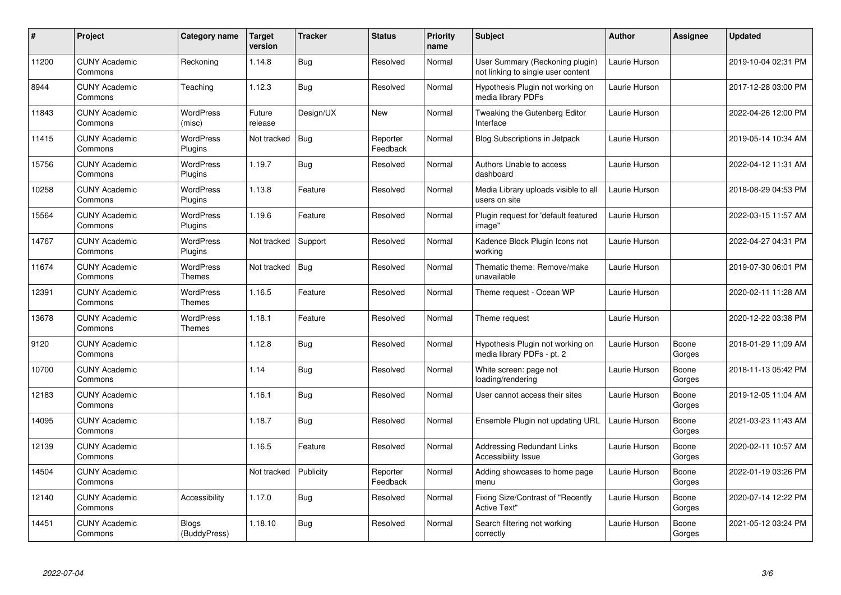| $\#$  | <b>Project</b>                  | Category name                     | <b>Target</b><br>version | <b>Tracker</b> | <b>Status</b>        | <b>Priority</b><br>name | <b>Subject</b>                                                        | <b>Author</b> | <b>Assignee</b> | Updated             |
|-------|---------------------------------|-----------------------------------|--------------------------|----------------|----------------------|-------------------------|-----------------------------------------------------------------------|---------------|-----------------|---------------------|
| 11200 | <b>CUNY Academic</b><br>Commons | Reckoning                         | 1.14.8                   | <b>Bug</b>     | Resolved             | Normal                  | User Summary (Reckoning plugin)<br>not linking to single user content | Laurie Hurson |                 | 2019-10-04 02:31 PM |
| 8944  | <b>CUNY Academic</b><br>Commons | Teaching                          | 1.12.3                   | Bug            | Resolved             | Normal                  | Hypothesis Plugin not working on<br>media library PDFs                | Laurie Hurson |                 | 2017-12-28 03:00 PM |
| 11843 | <b>CUNY Academic</b><br>Commons | WordPress<br>(misc)               | Future<br>release        | Design/UX      | <b>New</b>           | Normal                  | Tweaking the Gutenberg Editor<br>Interface                            | Laurie Hurson |                 | 2022-04-26 12:00 PM |
| 11415 | <b>CUNY Academic</b><br>Commons | WordPress<br>Plugins              | Not tracked              | <b>Bug</b>     | Reporter<br>Feedback | Normal                  | <b>Blog Subscriptions in Jetpack</b>                                  | Laurie Hurson |                 | 2019-05-14 10:34 AM |
| 15756 | <b>CUNY Academic</b><br>Commons | <b>WordPress</b><br>Plugins       | 1.19.7                   | Bug            | Resolved             | Normal                  | Authors Unable to access<br>dashboard                                 | Laurie Hurson |                 | 2022-04-12 11:31 AM |
| 10258 | <b>CUNY Academic</b><br>Commons | WordPress<br>Plugins              | 1.13.8                   | Feature        | Resolved             | Normal                  | Media Library uploads visible to all<br>users on site                 | Laurie Hurson |                 | 2018-08-29 04:53 PM |
| 15564 | <b>CUNY Academic</b><br>Commons | <b>WordPress</b><br>Plugins       | 1.19.6                   | Feature        | Resolved             | Normal                  | Plugin request for 'default featured<br>image"                        | Laurie Hurson |                 | 2022-03-15 11:57 AM |
| 14767 | <b>CUNY Academic</b><br>Commons | WordPress<br>Plugins              | Not tracked              | Support        | Resolved             | Normal                  | Kadence Block Plugin Icons not<br>workina                             | Laurie Hurson |                 | 2022-04-27 04:31 PM |
| 11674 | <b>CUNY Academic</b><br>Commons | <b>WordPress</b><br>Themes        | Not tracked              | Bug            | Resolved             | Normal                  | Thematic theme: Remove/make<br>unavailable                            | Laurie Hurson |                 | 2019-07-30 06:01 PM |
| 12391 | <b>CUNY Academic</b><br>Commons | <b>WordPress</b><br>Themes        | 1.16.5                   | Feature        | Resolved             | Normal                  | Theme request - Ocean WP                                              | Laurie Hurson |                 | 2020-02-11 11:28 AM |
| 13678 | <b>CUNY Academic</b><br>Commons | <b>WordPress</b><br><b>Themes</b> | 1.18.1                   | Feature        | Resolved             | Normal                  | Theme request                                                         | Laurie Hurson |                 | 2020-12-22 03:38 PM |
| 9120  | <b>CUNY Academic</b><br>Commons |                                   | 1.12.8                   | Bug            | Resolved             | Normal                  | Hypothesis Plugin not working on<br>media library PDFs - pt. 2        | Laurie Hurson | Boone<br>Gorges | 2018-01-29 11:09 AM |
| 10700 | <b>CUNY Academic</b><br>Commons |                                   | 1.14                     | Bug            | Resolved             | Normal                  | White screen: page not<br>loading/rendering                           | Laurie Hurson | Boone<br>Gorges | 2018-11-13 05:42 PM |
| 12183 | <b>CUNY Academic</b><br>Commons |                                   | 1.16.1                   | Bug            | Resolved             | Normal                  | User cannot access their sites                                        | Laurie Hurson | Boone<br>Gorges | 2019-12-05 11:04 AM |
| 14095 | <b>CUNY Academic</b><br>Commons |                                   | 1.18.7                   | <b>Bug</b>     | Resolved             | Normal                  | Ensemble Plugin not updating URL                                      | Laurie Hurson | Boone<br>Gorges | 2021-03-23 11:43 AM |
| 12139 | <b>CUNY Academic</b><br>Commons |                                   | 1.16.5                   | Feature        | Resolved             | Normal                  | <b>Addressing Redundant Links</b><br>Accessibility Issue              | Laurie Hurson | Boone<br>Gorges | 2020-02-11 10:57 AM |
| 14504 | <b>CUNY Academic</b><br>Commons |                                   | Not tracked              | Publicity      | Reporter<br>Feedback | Normal                  | Adding showcases to home page<br>menu                                 | Laurie Hurson | Boone<br>Gorges | 2022-01-19 03:26 PM |
| 12140 | <b>CUNY Academic</b><br>Commons | Accessibility                     | 1.17.0                   | <b>Bug</b>     | Resolved             | Normal                  | Fixing Size/Contrast of "Recently<br>Active Text"                     | Laurie Hurson | Boone<br>Gorges | 2020-07-14 12:22 PM |
| 14451 | <b>CUNY Academic</b><br>Commons | Blogs<br>(BuddyPress)             | 1.18.10                  | <b>Bug</b>     | Resolved             | Normal                  | Search filtering not working<br>correctly                             | Laurie Hurson | Boone<br>Gorges | 2021-05-12 03:24 PM |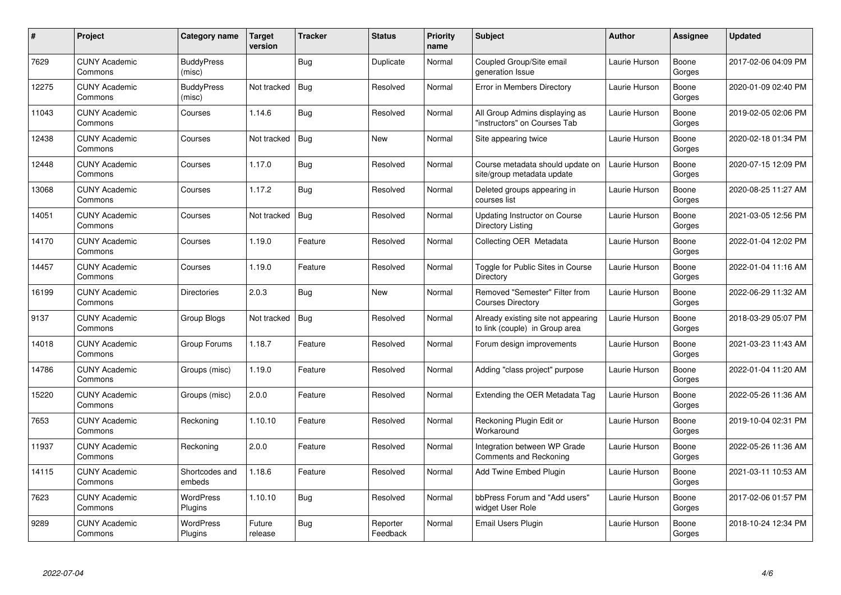| #     | Project                         | Category name               | Target<br>version | <b>Tracker</b> | <b>Status</b>        | <b>Priority</b><br>name | <b>Subject</b>                                                        | <b>Author</b> | <b>Assignee</b> | <b>Updated</b>      |
|-------|---------------------------------|-----------------------------|-------------------|----------------|----------------------|-------------------------|-----------------------------------------------------------------------|---------------|-----------------|---------------------|
| 7629  | <b>CUNY Academic</b><br>Commons | <b>BuddyPress</b><br>(misc) |                   | <b>Bug</b>     | Duplicate            | Normal                  | Coupled Group/Site email<br>generation Issue                          | Laurie Hurson | Boone<br>Gorges | 2017-02-06 04:09 PM |
| 12275 | <b>CUNY Academic</b><br>Commons | <b>BuddyPress</b><br>(misc) | Not tracked       | Bug            | Resolved             | Normal                  | Error in Members Directory                                            | Laurie Hurson | Boone<br>Gorges | 2020-01-09 02:40 PM |
| 11043 | <b>CUNY Academic</b><br>Commons | Courses                     | 1.14.6            | <b>Bug</b>     | Resolved             | Normal                  | All Group Admins displaying as<br>'instructors" on Courses Tab        | Laurie Hurson | Boone<br>Gorges | 2019-02-05 02:06 PM |
| 12438 | <b>CUNY Academic</b><br>Commons | Courses                     | Not tracked       | <b>Bug</b>     | <b>New</b>           | Normal                  | Site appearing twice                                                  | Laurie Hurson | Boone<br>Gorges | 2020-02-18 01:34 PM |
| 12448 | <b>CUNY Academic</b><br>Commons | Courses                     | 1.17.0            | Bug            | Resolved             | Normal                  | Course metadata should update on<br>site/group metadata update        | Laurie Hurson | Boone<br>Gorges | 2020-07-15 12:09 PM |
| 13068 | <b>CUNY Academic</b><br>Commons | Courses                     | 1.17.2            | Bug            | Resolved             | Normal                  | Deleted groups appearing in<br>courses list                           | Laurie Hurson | Boone<br>Gorges | 2020-08-25 11:27 AM |
| 14051 | <b>CUNY Academic</b><br>Commons | Courses                     | Not tracked       | Bug            | Resolved             | Normal                  | <b>Updating Instructor on Course</b><br>Directory Listing             | Laurie Hurson | Boone<br>Gorges | 2021-03-05 12:56 PM |
| 14170 | <b>CUNY Academic</b><br>Commons | Courses                     | 1.19.0            | Feature        | Resolved             | Normal                  | Collecting OER Metadata                                               | Laurie Hurson | Boone<br>Gorges | 2022-01-04 12:02 PM |
| 14457 | <b>CUNY Academic</b><br>Commons | Courses                     | 1.19.0            | Feature        | Resolved             | Normal                  | Toggle for Public Sites in Course<br>Directory                        | Laurie Hurson | Boone<br>Gorges | 2022-01-04 11:16 AM |
| 16199 | <b>CUNY Academic</b><br>Commons | Directories                 | 2.0.3             | <b>Bug</b>     | <b>New</b>           | Normal                  | Removed "Semester" Filter from<br><b>Courses Directory</b>            | Laurie Hurson | Boone<br>Gorges | 2022-06-29 11:32 AM |
| 9137  | <b>CUNY Academic</b><br>Commons | Group Blogs                 | Not tracked       | <b>Bug</b>     | Resolved             | Normal                  | Already existing site not appearing<br>to link (couple) in Group area | Laurie Hurson | Boone<br>Gorges | 2018-03-29 05:07 PM |
| 14018 | <b>CUNY Academic</b><br>Commons | Group Forums                | 1.18.7            | Feature        | Resolved             | Normal                  | Forum design improvements                                             | Laurie Hurson | Boone<br>Gorges | 2021-03-23 11:43 AM |
| 14786 | <b>CUNY Academic</b><br>Commons | Groups (misc)               | 1.19.0            | Feature        | Resolved             | Normal                  | Adding "class project" purpose                                        | Laurie Hurson | Boone<br>Gorges | 2022-01-04 11:20 AM |
| 15220 | <b>CUNY Academic</b><br>Commons | Groups (misc)               | 2.0.0             | Feature        | Resolved             | Normal                  | Extending the OER Metadata Tag                                        | Laurie Hurson | Boone<br>Gorges | 2022-05-26 11:36 AM |
| 7653  | <b>CUNY Academic</b><br>Commons | Reckoning                   | 1.10.10           | Feature        | Resolved             | Normal                  | Reckoning Plugin Edit or<br>Workaround                                | Laurie Hurson | Boone<br>Gorges | 2019-10-04 02:31 PM |
| 11937 | <b>CUNY Academic</b><br>Commons | Reckoning                   | 2.0.0             | Feature        | Resolved             | Normal                  | Integration between WP Grade<br>Comments and Reckoning                | Laurie Hurson | Boone<br>Gorges | 2022-05-26 11:36 AM |
| 14115 | <b>CUNY Academic</b><br>Commons | Shortcodes and<br>embeds    | 1.18.6            | Feature        | Resolved             | Normal                  | Add Twine Embed Plugin                                                | Laurie Hurson | Boone<br>Gorges | 2021-03-11 10:53 AM |
| 7623  | <b>CUNY Academic</b><br>Commons | WordPress<br>Plugins        | 1.10.10           | Bug            | Resolved             | Normal                  | bbPress Forum and "Add users"<br>widget User Role                     | Laurie Hurson | Boone<br>Gorges | 2017-02-06 01:57 PM |
| 9289  | <b>CUNY Academic</b><br>Commons | WordPress<br><b>Plugins</b> | Future<br>release | <b>Bug</b>     | Reporter<br>Feedback | Normal                  | Email Users Plugin                                                    | Laurie Hurson | Boone<br>Gorges | 2018-10-24 12:34 PM |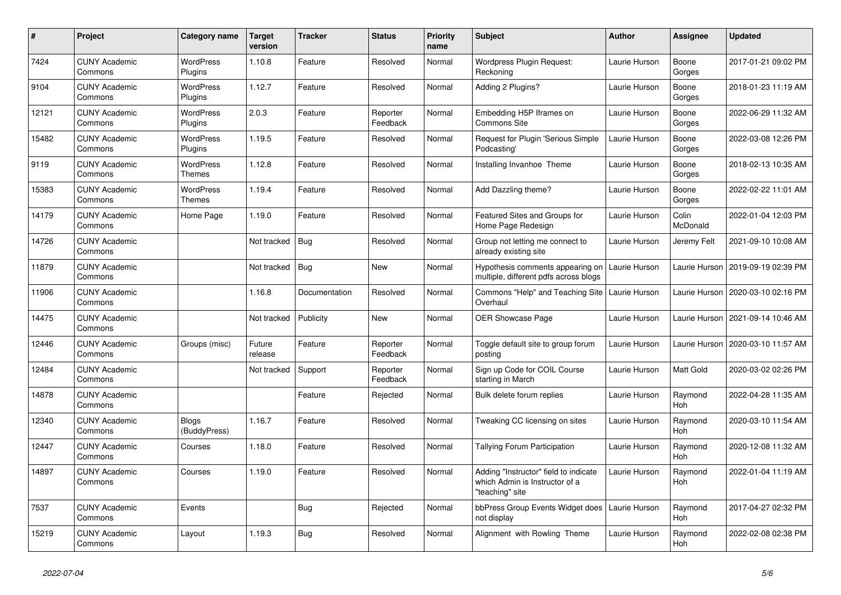| $\#$  | Project                         | Category name                | <b>Target</b><br>version | <b>Tracker</b> | <b>Status</b>        | <b>Priority</b><br>name | <b>Subject</b>                                                                             | Author        | <b>Assignee</b>   | <b>Updated</b>                      |
|-------|---------------------------------|------------------------------|--------------------------|----------------|----------------------|-------------------------|--------------------------------------------------------------------------------------------|---------------|-------------------|-------------------------------------|
| 7424  | <b>CUNY Academic</b><br>Commons | <b>WordPress</b><br>Plugins  | 1.10.8                   | Feature        | Resolved             | Normal                  | Wordpress Plugin Request:<br>Reckoning                                                     | Laurie Hurson | Boone<br>Gorges   | 2017-01-21 09:02 PM                 |
| 9104  | <b>CUNY Academic</b><br>Commons | <b>WordPress</b><br>Plugins  | 1.12.7                   | Feature        | Resolved             | Normal                  | Adding 2 Plugins?                                                                          | Laurie Hurson | Boone<br>Gorges   | 2018-01-23 11:19 AM                 |
| 12121 | <b>CUNY Academic</b><br>Commons | WordPress<br>Plugins         | 2.0.3                    | Feature        | Reporter<br>Feedback | Normal                  | Embedding H5P Iframes on<br>Commons Site                                                   | Laurie Hurson | Boone<br>Gorges   | 2022-06-29 11:32 AM                 |
| 15482 | <b>CUNY Academic</b><br>Commons | <b>WordPress</b><br>Plugins  | 1.19.5                   | Feature        | Resolved             | Normal                  | Request for Plugin 'Serious Simple<br>Podcasting'                                          | Laurie Hurson | Boone<br>Gorges   | 2022-03-08 12:26 PM                 |
| 9119  | <b>CUNY Academic</b><br>Commons | <b>WordPress</b><br>Themes   | 1.12.8                   | Feature        | Resolved             | Normal                  | Installing Invanhoe Theme                                                                  | Laurie Hurson | Boone<br>Gorges   | 2018-02-13 10:35 AM                 |
| 15383 | <b>CUNY Academic</b><br>Commons | <b>WordPress</b><br>Themes   | 1.19.4                   | Feature        | Resolved             | Normal                  | Add Dazzling theme?                                                                        | Laurie Hurson | Boone<br>Gorges   | 2022-02-22 11:01 AM                 |
| 14179 | <b>CUNY Academic</b><br>Commons | Home Page                    | 1.19.0                   | Feature        | Resolved             | Normal                  | Featured Sites and Groups for<br>Home Page Redesign                                        | Laurie Hurson | Colin<br>McDonald | 2022-01-04 12:03 PM                 |
| 14726 | <b>CUNY Academic</b><br>Commons |                              | Not tracked              | Bug            | Resolved             | Normal                  | Group not letting me connect to<br>already existing site                                   | Laurie Hurson | Jeremy Felt       | 2021-09-10 10:08 AM                 |
| 11879 | <b>CUNY Academic</b><br>Commons |                              | Not tracked              | Bug            | New                  | Normal                  | Hypothesis comments appearing on<br>multiple, different pdfs across blogs                  | Laurie Hurson | Laurie Hurson     | 2019-09-19 02:39 PM                 |
| 11906 | <b>CUNY Academic</b><br>Commons |                              | 1.16.8                   | Documentation  | Resolved             | Normal                  | Commons "Help" and Teaching Site<br>Overhaul                                               | Laurie Hurson |                   | Laurie Hurson   2020-03-10 02:16 PM |
| 14475 | <b>CUNY Academic</b><br>Commons |                              | Not tracked              | Publicity      | <b>New</b>           | Normal                  | <b>OER Showcase Page</b>                                                                   | Laurie Hurson |                   | Laurie Hurson   2021-09-14 10:46 AM |
| 12446 | <b>CUNY Academic</b><br>Commons | Groups (misc)                | Future<br>release        | Feature        | Reporter<br>Feedback | Normal                  | Toggle default site to group forum<br>posting                                              | Laurie Hurson | Laurie Hurson     | 2020-03-10 11:57 AM                 |
| 12484 | <b>CUNY Academic</b><br>Commons |                              | Not tracked              | Support        | Reporter<br>Feedback | Normal                  | Sign up Code for COIL Course<br>starting in March                                          | Laurie Hurson | Matt Gold         | 2020-03-02 02:26 PM                 |
| 14878 | <b>CUNY Academic</b><br>Commons |                              |                          | Feature        | Rejected             | Normal                  | Bulk delete forum replies                                                                  | Laurie Hurson | Raymond<br>Hoh    | 2022-04-28 11:35 AM                 |
| 12340 | <b>CUNY Academic</b><br>Commons | <b>Blogs</b><br>(BuddyPress) | 1.16.7                   | Feature        | Resolved             | Normal                  | Tweaking CC licensing on sites                                                             | Laurie Hurson | Raymond<br>Hoh    | 2020-03-10 11:54 AM                 |
| 12447 | <b>CUNY Academic</b><br>Commons | Courses                      | 1.18.0                   | Feature        | Resolved             | Normal                  | <b>Tallying Forum Participation</b>                                                        | Laurie Hurson | Raymond<br>Hoh    | 2020-12-08 11:32 AM                 |
| 14897 | <b>CUNY Academic</b><br>Commons | Courses                      | 1.19.0                   | Feature        | Resolved             | Normal                  | Adding "Instructor" field to indicate<br>which Admin is Instructor of a<br>"teaching" site | Laurie Hurson | Raymond<br>Hoh    | 2022-01-04 11:19 AM                 |
| 7537  | <b>CUNY Academic</b><br>Commons | Events                       |                          | Bug            | Rejected             | Normal                  | bbPress Group Events Widget does<br>not display                                            | Laurie Hurson | Raymond<br>Hoh    | 2017-04-27 02:32 PM                 |
| 15219 | <b>CUNY Academic</b><br>Commons | Layout                       | 1.19.3                   | <b>Bug</b>     | Resolved             | Normal                  | Alignment with Rowling Theme                                                               | Laurie Hurson | Raymond<br>Hoh    | 2022-02-08 02:38 PM                 |